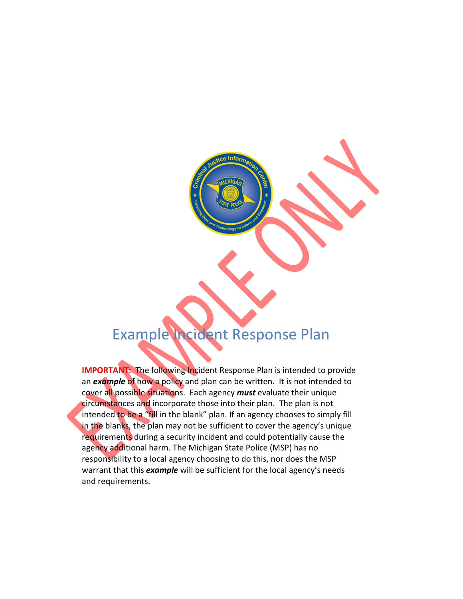# Example Incident Response Plan

**IMPORTANT:** The following Incident Response Plan is intended to provide an *example* of how a policy and plan can be written. It is not intended to cover all possible situations. Each agency *must* evaluate their unique circumstances and incorporate those into their plan. The plan is not intended to be a "fill in the blank" plan. If an agency chooses to simply fill in the blanks, the plan may not be sufficient to cover the agency's unique requirements during a security incident and could potentially cause the agency additional harm. The Michigan State Police (MSP) has no responsibility to a local agency choosing to do this, nor does the MSP warrant that this *example* will be sufficient for the local agency's needs and requirements.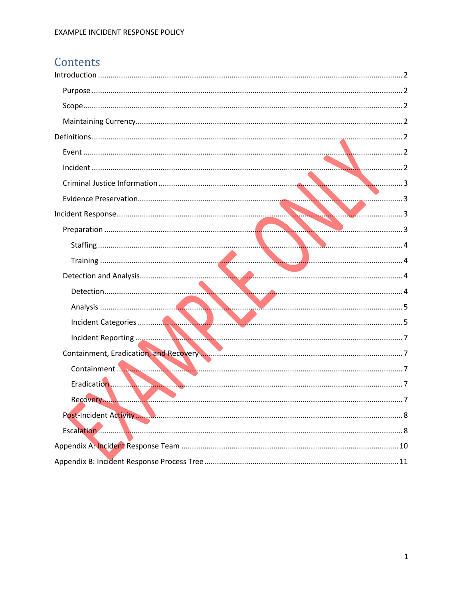# Contents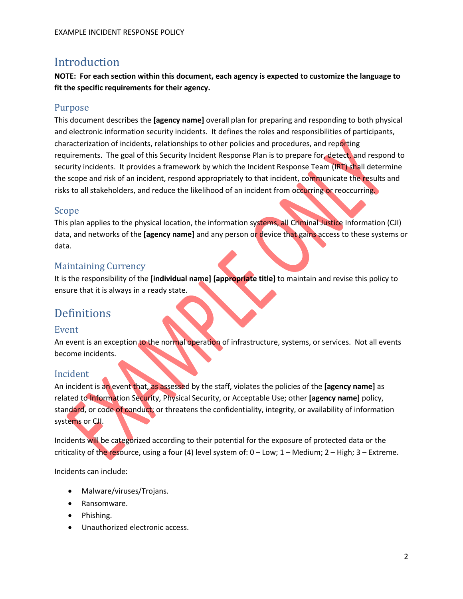## <span id="page-2-0"></span>Introduction

**NOTE: For each section within this document, each agency is expected to customize the language to fit the specific requirements for their agency.**

#### <span id="page-2-1"></span>Purpose

This document describes the **[agency name]** overall plan for preparing and responding to both physical and electronic information security incidents. It defines the roles and responsibilities of participants, characterization of incidents, relationships to other policies and procedures, and reporting requirements. The goal of this Security Incident Response Plan is to prepare for, detect, and respond to security incidents. It provides a framework by which the Incident Response Team (IRT) shall determine the scope and risk of an incident, respond appropriately to that incident, communicate the results and risks to all stakeholders, and reduce the likelihood of an incident from occurring or reoccurring.

#### <span id="page-2-2"></span>Scope

This plan applies to the physical location, the information systems, all Criminal Justice Information (CJI) data, and networks of the **[agency name]** and any person or device that gains access to these systems or data.

#### <span id="page-2-3"></span>Maintaining Currency

It is the responsibility of the **[individual name] [appropriate title]** to maintain and revise this policy to ensure that it is always in a ready state.

## <span id="page-2-4"></span>Definitions

#### <span id="page-2-5"></span>Event

An event is an exception to the normal operation of infrastructure, systems, or services. Not all events become incidents.

### <span id="page-2-6"></span>Incident

An incident is an event that, as assessed by the staff, violates the policies of the **[agency name]** as related to Information Security, Physical Security, or Acceptable Use; other **[agency name]** policy, standard, or code of conduct; or threatens the confidentiality, integrity, or availability of information systems or CJI.

Incidents will be categorized according to their potential for the exposure of protected data or the criticality of the resource, using a four (4) level system of:  $0 - Low$ ;  $1 - Median$ ;  $2 - High$ ;  $3 - Ext$ reme.

Incidents can include:

- Malware/viruses/Trojans.
- Ransomware.
- Phishing.
- Unauthorized electronic access.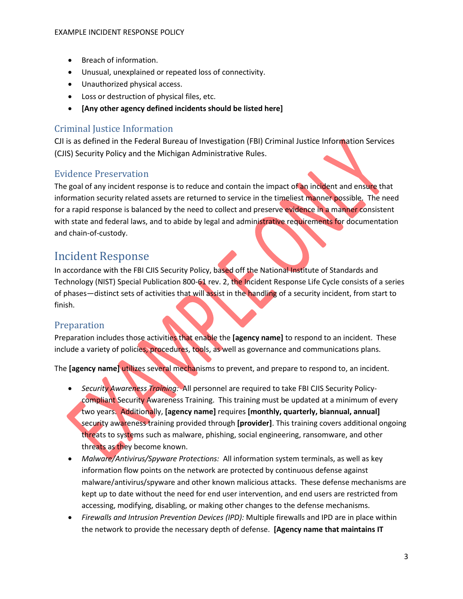- Breach of information.
- Unusual, unexplained or repeated loss of connectivity.
- Unauthorized physical access.
- Loss or destruction of physical files, etc.
- **[Any other agency defined incidents should be listed here]**

#### <span id="page-3-0"></span>Criminal Justice Information

CJI is as defined in the Federal Bureau of Investigation (FBI) Criminal Justice Information Services (CJIS) Security Policy and the Michigan Administrative Rules.

#### <span id="page-3-1"></span>Evidence Preservation

The goal of any incident response is to reduce and contain the impact of an incident and ensure that information security related assets are returned to service in the timeliest manner possible. The need for a rapid response is balanced by the need to collect and preserve evidence in a manner consistent with state and federal laws, and to abide by legal and administrative requirements for documentation and chain-of-custody.

## <span id="page-3-2"></span>Incident Response

In accordance with the FBI CJIS Security Policy, based off the National Institute of Standards and Technology (NIST) Special Publication 800-61 rev. 2, the Incident Response Life Cycle consists of a series of phases—distinct sets of activities that will assist in the handling of a security incident, from start to finish.

#### <span id="page-3-3"></span>Preparation

Preparation includes those activities that enable the **[agency name]** to respond to an incident. These include a variety of policies, procedures, tools, as well as governance and communications plans.

The **[agency name]** utilizes several mechanisms to prevent, and prepare to respond to, an incident.

- *Security Awareness Training:* All personnel are required to take FBI CJIS Security Policycompliant Security Awareness Training. This training must be updated at a minimum of every two years. Additionally, **[agency name]** requires **[monthly, quarterly, biannual, annual]** security awareness training provided through **[provider]**. This training covers additional ongoing threats to systems such as malware, phishing, social engineering, ransomware, and other threats as they become known.
- *Malware/Antivirus/Spyware Protections:* All information system terminals, as well as key information flow points on the network are protected by continuous defense against malware/antivirus/spyware and other known malicious attacks. These defense mechanisms are kept up to date without the need for end user intervention, and end users are restricted from accessing, modifying, disabling, or making other changes to the defense mechanisms.
- *Firewalls and Intrusion Prevention Devices (IPD):* Multiple firewalls and IPD are in place within the network to provide the necessary depth of defense. **[Agency name that maintains IT**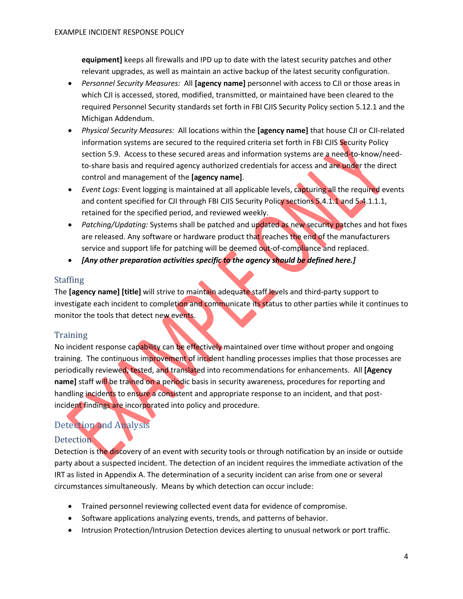**equipment]** keeps all firewalls and IPD up to date with the latest security patches and other relevant upgrades, as well as maintain an active backup of the latest security configuration.

- *Personnel Security Measures:* All **[agency name]** personnel with access to CJI or those areas in which CJI is accessed, stored, modified, transmitted, or maintained have been cleared to the required Personnel Security standards set forth in FBI CJIS Security Policy section 5.12.1 and the Michigan Addendum.
- *Physical Security Measures:* All locations within the **[agency name]** that house CJI or CJI-related information systems are secured to the required criteria set forth in FBI CJIS Security Policy section 5.9. Access to these secured areas and information systems are a need-to-know/needto-share basis and required agency authorized credentials for access and are under the direct control and management of the **[agency name]**.
- *Event Logs:* Event logging is maintained at all applicable levels, capturing all the required events and content specified for CJI through FBI CJIS Security Policy sections 5.4.1.1 and 5.4.1.1.1, retained for the specified period, and reviewed weekly.
- *Patching/Updating:* Systems shall be patched and updated as new security patches and hot fixes are released. Any software or hardware product that reaches the end of the manufacturers service and support life for patching will be deemed out-of-compliance and replaced.
- *[Any other preparation activities specific to the agency should be defined here.]*

#### <span id="page-4-0"></span>**Staffing**

The **[agency name] [title]** will strive to maintain adequate staff levels and third-party support to investigate each incident to completion and communicate its status to other parties while it continues to monitor the tools that detect new events.

#### <span id="page-4-1"></span>Training

No incident response capability can be effectively maintained over time without proper and ongoing training. The continuous improvement of incident handling processes implies that those processes are periodically reviewed, tested, and translated into recommendations for enhancements. All **[Agency name]** staff will be trained on a periodic basis in security awareness, procedures for reporting and handling incidents to ensure a consistent and appropriate response to an incident, and that postincident findings are incorporated into policy and procedure.

#### <span id="page-4-2"></span>Detection and Analysis

#### <span id="page-4-3"></span>Detection

Detection is the discovery of an event with security tools or through notification by an inside or outside party about a suspected incident. The detection of an incident requires the immediate activation of the IRT as listed in Appendix A. The determination of a security incident can arise from one or several circumstances simultaneously. Means by which detection can occur include:

- Trained personnel reviewing collected event data for evidence of compromise.
- Software applications analyzing events, trends, and patterns of behavior.
- Intrusion Protection/Intrusion Detection devices alerting to unusual network or port traffic.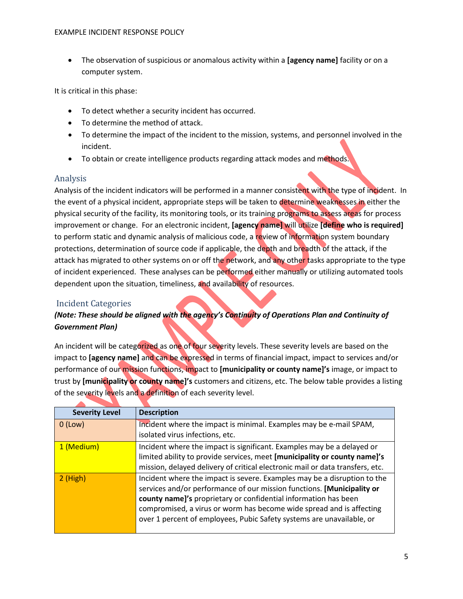• The observation of suspicious or anomalous activity within a **[agency name]** facility or on a computer system.

It is critical in this phase:

- To detect whether a security incident has occurred.
- To determine the method of attack.
- To determine the impact of the incident to the mission, systems, and personnel involved in the incident.
- To obtain or create intelligence products regarding attack modes and methods.

#### <span id="page-5-0"></span>Analysis

Analysis of the incident indicators will be performed in a manner consistent with the type of incident. In the event of a physical incident, appropriate steps will be taken to determine weaknesses in either the physical security of the facility, its monitoring tools, or its training programs to assess areas for process improvement or change. For an electronic incident, **[agency name]** will utilize **[define who is required]** to perform static and dynamic analysis of malicious code, a review of information system boundary protections, determination of source code if applicable, the depth and breadth of the attack, if the attack has migrated to other systems on or off the network, and any other tasks appropriate to the type of incident experienced. These analyses can be performed either manually or utilizing automated tools dependent upon the situation, timeliness, and availability of resources.

#### <span id="page-5-1"></span>Incident Categories

#### *(Note: These should be aligned with the agency's Continuity of Operations Plan and Continuity of Government Plan)*

An incident will be categorized as one of four severity levels. These severity levels are based on the impact to **[agency name]** and can be expressed in terms of financial impact, impact to services and/or performance of our mission functions, impact to **[municipality or county name]'s** image, or impact to trust by **[municipality or county name]'s** customers and citizens, etc. The below table provides a listing of the severity levels and a definition of each severity level.

| <b>Severity Level</b> | <b>Description</b>                                                                                                                                                                                                                                                                                                                                                     |
|-----------------------|------------------------------------------------------------------------------------------------------------------------------------------------------------------------------------------------------------------------------------------------------------------------------------------------------------------------------------------------------------------------|
| $0$ (Low)             | Incident where the impact is minimal. Examples may be e-mail SPAM,<br>isolated virus infections, etc.                                                                                                                                                                                                                                                                  |
| 1 (Medium)            | Incident where the impact is significant. Examples may be a delayed or<br>limited ability to provide services, meet [municipality or county name]'s<br>mission, delayed delivery of critical electronic mail or data transfers, etc.                                                                                                                                   |
| $2$ (High)            | Incident where the impact is severe. Examples may be a disruption to the<br>services and/or performance of our mission functions. [Municipality or<br>county name]'s proprietary or confidential information has been<br>compromised, a virus or worm has become wide spread and is affecting<br>over 1 percent of employees, Pubic Safety systems are unavailable, or |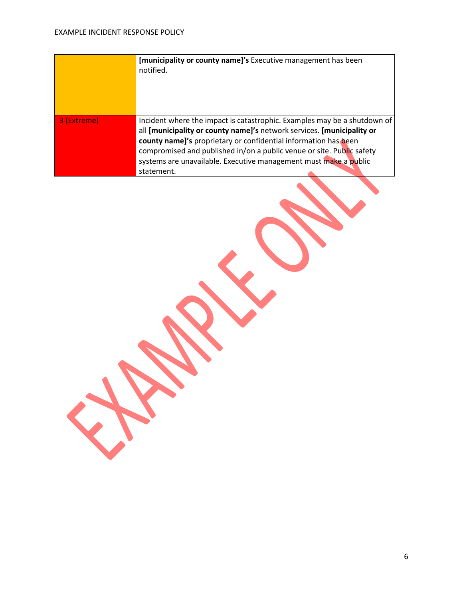|             | [municipality or county name]'s Executive management has been<br>notified.                                                                                                                                                                                                                                                                                                       |
|-------------|----------------------------------------------------------------------------------------------------------------------------------------------------------------------------------------------------------------------------------------------------------------------------------------------------------------------------------------------------------------------------------|
| 3 (Extreme) | Incident where the impact is catastrophic. Examples may be a shutdown of<br>all [municipality or county name]'s network services. [municipality or<br>county name]'s proprietary or confidential information has been<br>compromised and published in/on a public venue or site. Public safety<br>systems are unavailable. Executive management must make a public<br>statement. |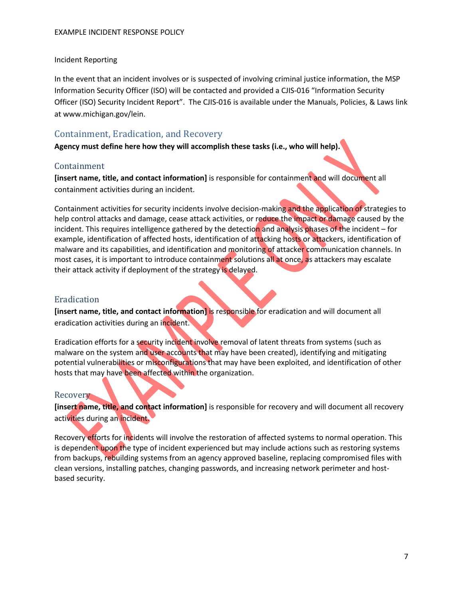#### <span id="page-7-0"></span>Incident Reporting

In the event that an incident involves or is suspected of involving criminal justice information, the MSP Information Security Officer (ISO) will be contacted and provided a CJIS-016 "Information Security Officer (ISO) Security Incident Report". The CJIS-016 is available under the Manuals, Policies, & Laws link at www.michigan.gov/lein.

#### <span id="page-7-1"></span>Containment, Eradication, and Recovery

**Agency must define here how they will accomplish these tasks (i.e., who will help).**

#### <span id="page-7-2"></span>Containment

**[insert name, title, and contact information]** is responsible for containment and will document all containment activities during an incident.

Containment activities for security incidents involve decision-making and the application of strategies to help control attacks and damage, cease attack activities, or reduce the impact or damage caused by the incident. This requires intelligence gathered by the detection and analysis phases of the incident – for example, identification of affected hosts, identification of attacking hosts or attackers, identification of malware and its capabilities, and identification and monitoring of attacker communication channels. In most cases, it is important to introduce containment solutions all at once, as attackers may escalate their attack activity if deployment of the strategy is delayed.

#### <span id="page-7-3"></span>Eradication

**[insert name, title, and contact information]** is responsible for eradication and will document all eradication activities during an incident.

Eradication efforts for a security incident involve removal of latent threats from systems (such as malware on the system and user accounts that may have been created), identifying and mitigating potential vulnerabilities or misconfigurations that may have been exploited, and identification of other hosts that may have been affected within the organization.

#### <span id="page-7-4"></span>Recovery

**[insert name, title, and contact information]** is responsible for recovery and will document all recovery activities during an incident.

Recovery efforts for incidents will involve the restoration of affected systems to normal operation. This is dependent upon the type of incident experienced but may include actions such as restoring systems from backups, rebuilding systems from an agency approved baseline, replacing compromised files with clean versions, installing patches, changing passwords, and increasing network perimeter and hostbased security.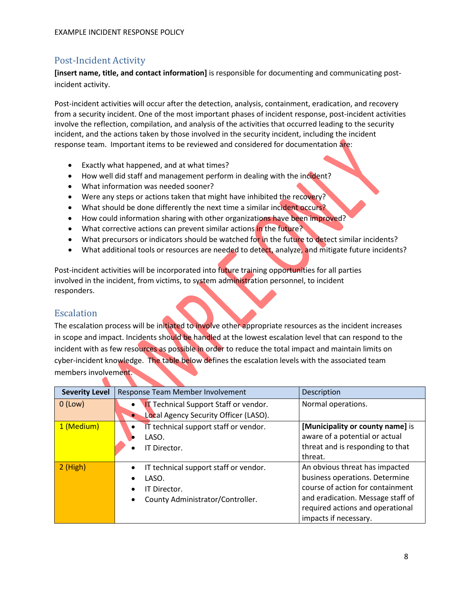#### <span id="page-8-0"></span>Post-Incident Activity

**[insert name, title, and contact information]** is responsible for documenting and communicating postincident activity.

Post-incident activities will occur after the detection, analysis, containment, eradication, and recovery from a security incident. One of the most important phases of incident response, post-incident activities involve the reflection, compilation, and analysis of the activities that occurred leading to the security incident, and the actions taken by those involved in the security incident, including the incident response team. Important items to be reviewed and considered for documentation are:

- Exactly what happened, and at what times?
- How well did staff and management perform in dealing with the incident?
- What information was needed sooner?
- Were any steps or actions taken that might have inhibited the recovery?
- What should be done differently the next time a similar incident occurs?
- How could information sharing with other organizations have been improved?
- What corrective actions can prevent similar actions in the future?
- What precursors or indicators should be watched for in the future to detect similar incidents?
- What additional tools or resources are needed to detect, analyze, and mitigate future incidents?

Post-incident activities will be incorporated into future training opportunities for all parties involved in the incident, from victims, to system administration personnel, to incident responders.

#### <span id="page-8-1"></span>Escalation

The escalation process will be initiated to involve other appropriate resources as the incident increases in scope and impact. Incidents should be handled at the lowest escalation level that can respond to the incident with as few resources as possible in order to reduce the total impact and maintain limits on cyber-incident knowledge. The table below defines the escalation levels with the associated team members involvement.

| <b>Severity Level</b> | Response Team Member Involvement                                                                                             | Description                                                                                                                                                                                            |
|-----------------------|------------------------------------------------------------------------------------------------------------------------------|--------------------------------------------------------------------------------------------------------------------------------------------------------------------------------------------------------|
| $0$ (Low)             | <b>IT Technical Support Staff or vendor.</b><br>Local Agency Security Officer (LASO).                                        | Normal operations.                                                                                                                                                                                     |
| 1 (Medium)            | IT technical support staff or vendor.<br>LASO.<br>IT Director.                                                               | [Municipality or county name] is<br>aware of a potential or actual<br>threat and is responding to that<br>threat.                                                                                      |
| $2$ (High)            | IT technical support staff or vendor.<br>LASO.<br>IT Director.<br>$\bullet$<br>County Administrator/Controller.<br>$\bullet$ | An obvious threat has impacted<br>business operations. Determine<br>course of action for containment<br>and eradication. Message staff of<br>required actions and operational<br>impacts if necessary. |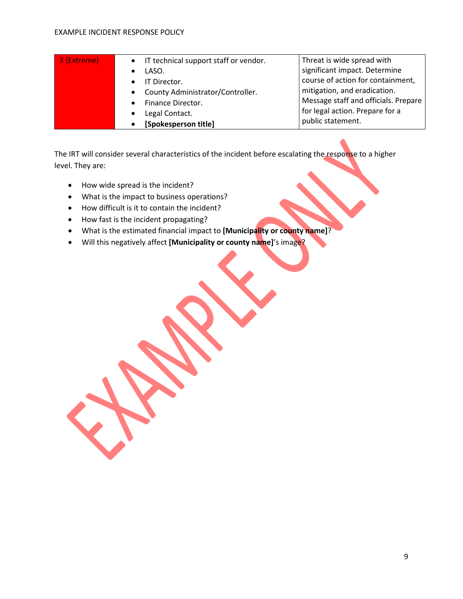#### EXAMPLE INCIDENT RESPONSE POLICY

| 3 (Extreme) | IT technical support staff or vendor.         | Threat is wide spread with           |
|-------------|-----------------------------------------------|--------------------------------------|
|             | LASO.                                         | significant impact. Determine        |
|             | IT Director.                                  | course of action for containment,    |
|             | County Administrator/Controller.<br>$\bullet$ | mitigation, and eradication.         |
|             | Finance Director.                             | Message staff and officials. Prepare |
|             | Legal Contact.                                | for legal action. Prepare for a      |
|             | [Spokesperson title]                          | public statement.                    |

The IRT will consider several characteristics of the incident before escalating the response to a higher level. They are:

- How wide spread is the incident?
- What is the impact to business operations?
- How difficult is it to contain the incident?
- How fast is the incident propagating?
- What is the estimated financial impact to **[Municipality or county name]**?
- Will this negatively affect **[Municipality or county name]**'s image?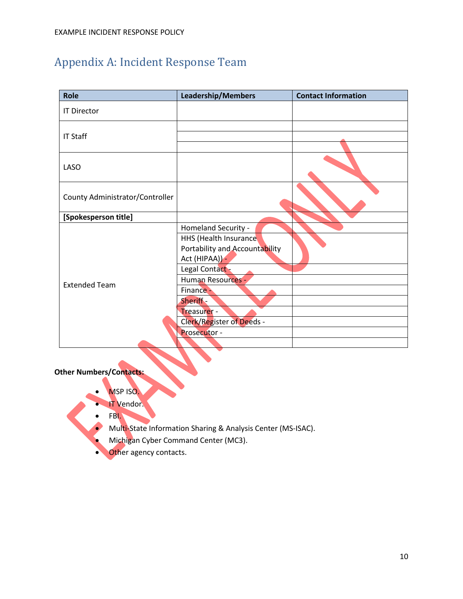# <span id="page-10-0"></span>Appendix A: Incident Response Team

| <b>Role</b>                     | <b>Leadership/Members</b>      | <b>Contact Information</b> |
|---------------------------------|--------------------------------|----------------------------|
| <b>IT Director</b>              |                                |                            |
|                                 |                                |                            |
| <b>IT Staff</b>                 |                                |                            |
|                                 |                                |                            |
| <b>LASO</b>                     |                                |                            |
| County Administrator/Controller |                                |                            |
| [Spokesperson title]            |                                |                            |
|                                 | Homeland Security -            |                            |
|                                 | HHS (Health Insurance          |                            |
|                                 | Portability and Accountability |                            |
|                                 | Act (HIPAA)) -                 |                            |
|                                 | Legal Contact -                |                            |
| <b>Extended Team</b>            | Human Resources -              |                            |
|                                 | Finance -                      |                            |
|                                 | Sheriff -                      |                            |
|                                 | Treasurer -                    |                            |
|                                 | Clerk/Register of Deeds -      |                            |
|                                 | Prosecutor -                   |                            |
|                                 |                                |                            |

**Other Numbers/Contacts:**

- MSP ISO.
- IT Vendor.
- FBI.
- Multi-State Information Sharing & Analysis Center (MS-ISAC).
- Michigan Cyber Command Center (MC3).
- **Other agency contacts.**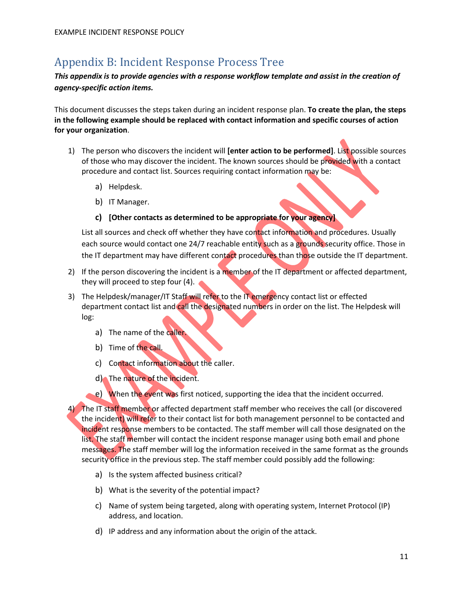## <span id="page-11-0"></span>Appendix B: Incident Response Process Tree

*This appendix is to provide agencies with a response workflow template and assist in the creation of agency-specific action items.*

This document discusses the steps taken during an incident response plan. **To create the plan, the steps in the following example should be replaced with contact information and specific courses of action for your organization**.

- 1) The person who discovers the incident will **[enter action to be performed]**. List possible sources of those who may discover the incident. The known sources should be provided with a contact procedure and contact list. Sources requiring contact information may be:
	- a) Helpdesk.
	- b) IT Manager.

#### **c) [Other contacts as determined to be appropriate for your agency]**

List all sources and check off whether they have contact information and procedures. Usually each source would contact one 24/7 reachable entity such as a grounds security office. Those in the IT department may have different contact procedures than those outside the IT department.

- 2) If the person discovering the incident is a member of the IT department or affected department, they will proceed to step four (4).
- 3) The Helpdesk/manager/IT Staff will refer to the IT emergency contact list or effected department contact list and call the designated numbers in order on the list. The Helpdesk will log:
	- a) The name of the caller.
	- b) Time of the call.
	- c) Contact information about the caller.
	- d) The nature of the incident.
	- e) When the event was first noticed, supporting the idea that the incident occurred.

4) The IT staff member or affected department staff member who receives the call (or discovered the incident) will refer to their contact list for both management personnel to be contacted and incident response members to be contacted. The staff member will call those designated on the list. The staff member will contact the incident response manager using both email and phone messages. The staff member will log the information received in the same format as the grounds security office in the previous step. The staff member could possibly add the following:

- a) Is the system affected business critical?
- b) What is the severity of the potential impact?
- c) Name of system being targeted, along with operating system, Internet Protocol (IP) address, and location.
- d) IP address and any information about the origin of the attack.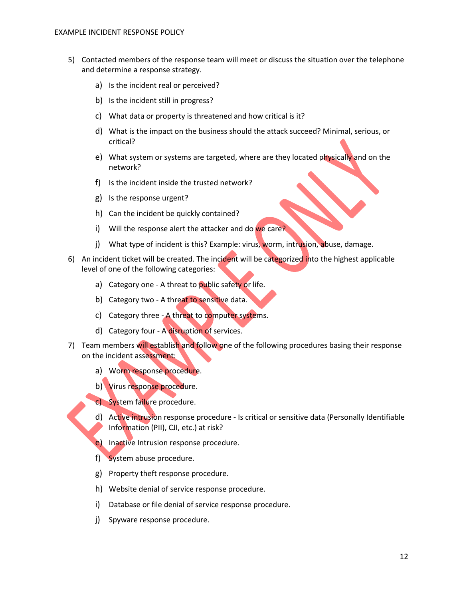- 5) Contacted members of the response team will meet or discuss the situation over the telephone and determine a response strategy.
	- a) Is the incident real or perceived?
	- b) Is the incident still in progress?
	- c) What data or property is threatened and how critical is it?
	- d) What is the impact on the business should the attack succeed? Minimal, serious, or critical?
	- e) What system or systems are targeted, where are they located physically and on the network?
	- f) Is the incident inside the trusted network?
	- g) Is the response urgent?
	- h) Can the incident be quickly contained?
	- i) Will the response alert the attacker and do we care?
	- j) What type of incident is this? Example: virus, worm, intrusion, abuse, damage.
- 6) An incident ticket will be created. The incident will be categorized into the highest applicable level of one of the following categories:
	- a) Category one A threat to public safety or life.
	- b) Category two A threat to sensitive data.
	- c) Category three A threat to computer systems.
	- d) Category four A disruption of services.
- 7) Team members will establish and follow one of the following procedures basing their response on the incident assessment:
	- a) Worm response procedure.
	- b) Virus response procedure.
	- c) System failure procedure.
	- d) Active intrusion response procedure Is critical or sensitive data (Personally Identifiable Information (PII), CJI, etc.) at risk?
	- e) Inactive Intrusion response procedure.
	- f) System abuse procedure.
	- g) Property theft response procedure.
	- h) Website denial of service response procedure.
	- i) Database or file denial of service response procedure.
	- j) Spyware response procedure.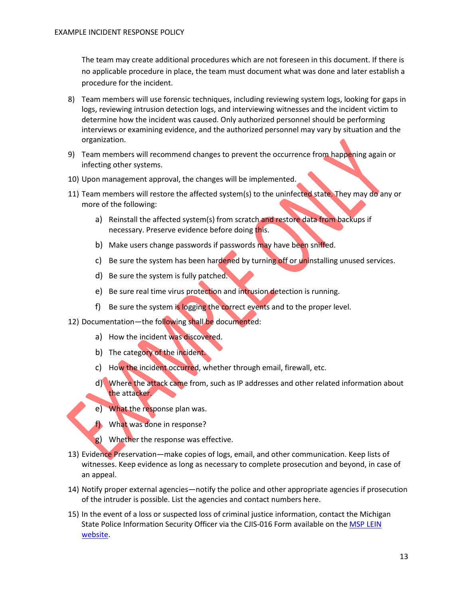The team may create additional procedures which are not foreseen in this document. If there is no applicable procedure in place, the team must document what was done and later establish a procedure for the incident.

- 8) Team members will use forensic techniques, including reviewing system logs, looking for gaps in logs, reviewing intrusion detection logs, and interviewing witnesses and the incident victim to determine how the incident was caused. Only authorized personnel should be performing interviews or examining evidence, and the authorized personnel may vary by situation and the organization.
- 9) Team members will recommend changes to prevent the occurrence from happening again or infecting other systems.
- 10) Upon management approval, the changes will be implemented.
- 11) Team members will restore the affected system(s) to the uninfected state. They may do any or more of the following:
	- a) Reinstall the affected system(s) from scratch and restore data from backups if necessary. Preserve evidence before doing this.
	- b) Make users change passwords if passwords may have been sniffed.
	- c) Be sure the system has been hardened by turning off or uninstalling unused services.
	- d) Be sure the system is fully patched.
	- e) Be sure real time virus protection and intrusion detection is running.
	- f) Be sure the system is logging the correct events and to the proper level.
- 12) Documentation—the following shall be documented:
	- a) How the incident was discovered.
	- b) The category of the incident.
	- c) How the incident occurred, whether through email, firewall, etc.
	- d) Where the attack came from, such as IP addresses and other related information about the attacker.
	- e) What the response plan was.
	- f) What was done in response?
	- g) Whether the response was effective.
- 13) Evidence Preservation—make copies of logs, email, and other communication. Keep lists of witnesses. Keep evidence as long as necessary to complete prosecution and beyond, in case of an appeal.
- 14) Notify proper external agencies—notify the police and other appropriate agencies if prosecution of the intruder is possible. List the agencies and contact numbers here.
- 15) In the event of a loss or suspected loss of criminal justice information, contact the Michigan State Police Information Security Officer via the CJIS-016 Form available on the MSP LEIN [website.](https://www.michigan.gov/msp/0,4643,7-123-3493_72291---,00.html)